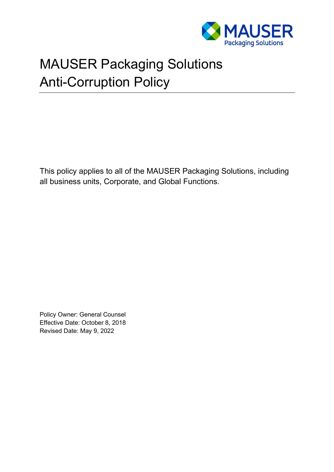

# MAUSER Packaging Solutions Anti-Corruption Policy

This policy applies to all of the MAUSER Packaging Solutions, including all business units, Corporate, and Global Functions.

Policy Owner: General Counsel Effective Date: October 8, 2018 Revised Date: May 9, 2022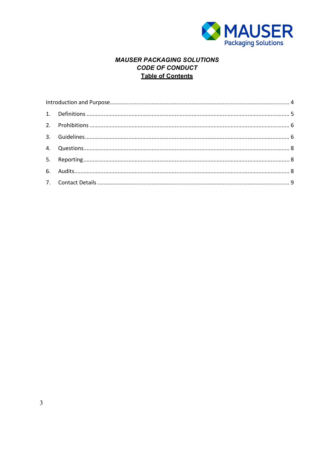

## **MAUSER PACKAGING SOLUTIONS CODE OF CONDUCT Table of Contents**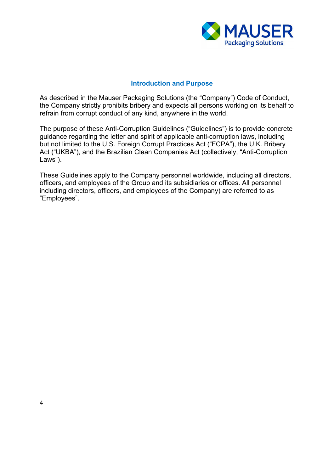

#### **Introduction and Purpose**

<span id="page-2-0"></span>As described in the Mauser Packaging Solutions (the "Company") Code of Conduct, the Company strictly prohibits bribery and expects all persons working on its behalf to refrain from corrupt conduct of any kind, anywhere in the world.

The purpose of these Anti-Corruption Guidelines ("Guidelines") is to provide concrete guidance regarding the letter and spirit of applicable anti-corruption laws, including but not limited to the U.S. Foreign Corrupt Practices Act ("FCPA"), the U.K. Bribery Act ("UKBA"), and the Brazilian Clean Companies Act (collectively, "Anti-Corruption Laws").

These Guidelines apply to the Company personnel worldwide, including all directors, officers, and employees of the Group and its subsidiaries or offices. All personnel including directors, officers, and employees of the Company) are referred to as "Employees".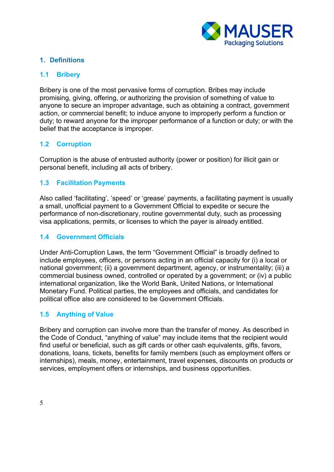

## <span id="page-3-0"></span>**1. Definitions**

## **1.1 Bribery**

Bribery is one of the most pervasive forms of corruption. Bribes may include promising, giving, offering, or authorizing the provision of something of value to anyone to secure an improper advantage, such as obtaining a contract, government action, or commercial benefit; to induce anyone to improperly perform a function or duty; to reward anyone for the improper performance of a function or duty; or with the belief that the acceptance is improper.

## **1.2 Corruption**

Corruption is the abuse of entrusted authority (power or position) for illicit gain or personal benefit, including all acts of bribery.

## **1.3 Facilitation Payments**

Also called 'facilitating', 'speed' or 'grease' payments, a facilitating payment is usually a small, unofficial payment to a Government Official to expedite or secure the performance of non-discretionary, routine governmental duty, such as processing visa applications, permits, or licenses to which the payer is already entitled.

#### **1.4 Government Officials**

Under Anti-Corruption Laws, the term "Government Official" is broadly defined to include employees, officers, or persons acting in an official capacity for (i) a local or national government; (ii) a government department, agency, or instrumentality; (iii) a commercial business owned, controlled or operated by a government; or (iv) a public international organization, like the World Bank, United Nations, or International Monetary Fund. Political parties, the employees and officials, and candidates for political office also are considered to be Government Officials.

## **1.5 Anything of Value**

Bribery and corruption can involve more than the transfer of money. As described in the Code of Conduct, "anything of value" may include items that the recipient would find useful or beneficial, such as gift cards or other cash equivalents, gifts, favors, donations, loans, tickets, benefits for family members (such as employment offers or internships), meals, money, entertainment, travel expenses, discounts on products or services, employment offers or internships, and business opportunities.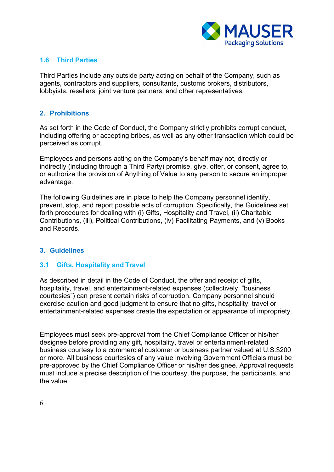

## **1.6 Third Parties**

Third Parties include any outside party acting on behalf of the Company, such as agents, contractors and suppliers, consultants, customs brokers, distributors, lobbyists, resellers, joint venture partners, and other representatives.

#### <span id="page-4-0"></span>**2. Prohibitions**

As set forth in the Code of Conduct, the Company strictly prohibits corrupt conduct, including offering or accepting bribes, as well as any other transaction which could be perceived as corrupt.

Employees and persons acting on the Company's behalf may not, directly or indirectly (including through a Third Party) promise, give, offer, or consent, agree to, or authorize the provision of Anything of Value to any person to secure an improper advantage.

The following Guidelines are in place to help the Company personnel identify, prevent, stop, and report possible acts of corruption. Specifically, the Guidelines set forth procedures for dealing with (i) Gifts, Hospitality and Travel, (ii) Charitable Contributions, (iii), Political Contributions, (iv) Facilitating Payments, and (v) Books and Records.

#### <span id="page-4-1"></span>**3. Guidelines**

#### **3.1 Gifts, Hospitality and Travel**

As described in detail in the Code of Conduct, the offer and receipt of gifts, hospitality, travel, and entertainment-related expenses (collectively, "business courtesies") can present certain risks of corruption. Company personnel should exercise caution and good judgment to ensure that no gifts, hospitality, travel or entertainment-related expenses create the expectation or appearance of impropriety.

Employees must seek pre-approval from the Chief Compliance Officer or his/her designee before providing any gift, hospitality, travel or entertainment-related business courtesy to a commercial customer or business partner valued at U.S.\$200 or more. All business courtesies of any value involving Government Officials must be pre-approved by the Chief Compliance Officer or his/her designee. Approval requests must include a precise description of the courtesy, the purpose, the participants, and the value.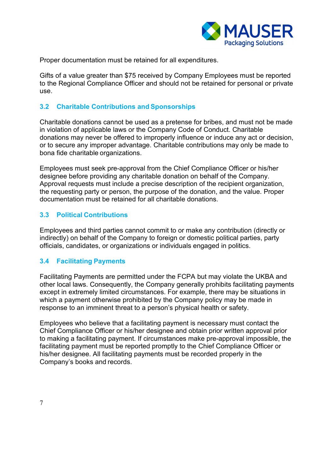

Proper documentation must be retained for all expenditures.

Gifts of a value greater than \$75 received by Company Employees must be reported to the Regional Compliance Officer and should not be retained for personal or private use.

#### **3.2 Charitable Contributions and Sponsorships**

Charitable donations cannot be used as a pretense for bribes, and must not be made in violation of applicable laws or the Company Code of Conduct. Charitable donations may never be offered to improperly influence or induce any act or decision, or to secure any improper advantage. Charitable contributions may only be made to bona fide charitable organizations.

Employees must seek pre-approval from the Chief Compliance Officer or his/her designee before providing any charitable donation on behalf of the Company. Approval requests must include a precise description of the recipient organization, the requesting party or person, the purpose of the donation, and the value. Proper documentation must be retained for all charitable donations.

## **3.3 Political Contributions**

Employees and third parties cannot commit to or make any contribution (directly or indirectly) on behalf of the Company to foreign or domestic political parties, party officials, candidates, or organizations or individuals engaged in politics.

## **3.4 Facilitating Payments**

Facilitating Payments are permitted under the FCPA but may violate the UKBA and other local laws. Consequently, the Company generally prohibits facilitating payments except in extremely limited circumstances. For example, there may be situations in which a payment otherwise prohibited by the Company policy may be made in response to an imminent threat to a person's physical health or safety.

Employees who believe that a facilitating payment is necessary must contact the Chief Compliance Officer or his/her designee and obtain prior written approval prior to making a facilitating payment. If circumstances make pre-approval impossible, the facilitating payment must be reported promptly to the Chief Compliance Officer or his/her designee. All facilitating payments must be recorded properly in the Company's books and records.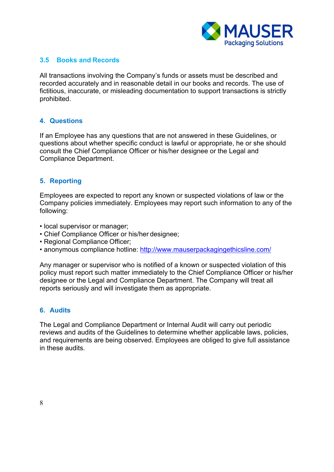

## **3.5 Books and Records**

All transactions involving the Company's funds or assets must be described and recorded accurately and in reasonable detail in our books and records. The use of fictitious, inaccurate, or misleading documentation to support transactions is strictly prohibited.

#### <span id="page-6-0"></span>**4. Questions**

If an Employee has any questions that are not answered in these Guidelines, or questions about whether specific conduct is lawful or appropriate, he or she should consult the Chief Compliance Officer or his/her designee or the Legal and Compliance Department.

## <span id="page-6-1"></span>**5. Reporting**

Employees are expected to report any known or suspected violations of law or the Company policies immediately. Employees may report such information to any of the following:

- local supervisor or manager;
- Chief Compliance Officer or his/her designee;
- Regional Compliance Officer;
- anonymous compliance hotline:<http://www.mauserpackagingethicsline.com/>

Any manager or supervisor who is notified of a known or suspected violation of this policy must report such matter immediately to the Chief Compliance Officer or his/her designee or the Legal and Compliance Department. The Company will treat all reports seriously and will investigate them as appropriate.

#### <span id="page-6-2"></span>**6. Audits**

The Legal and Compliance Department or Internal Audit will carry out periodic reviews and audits of the Guidelines to determine whether applicable laws, policies, and requirements are being observed. Employees are obliged to give full assistance in these audits.